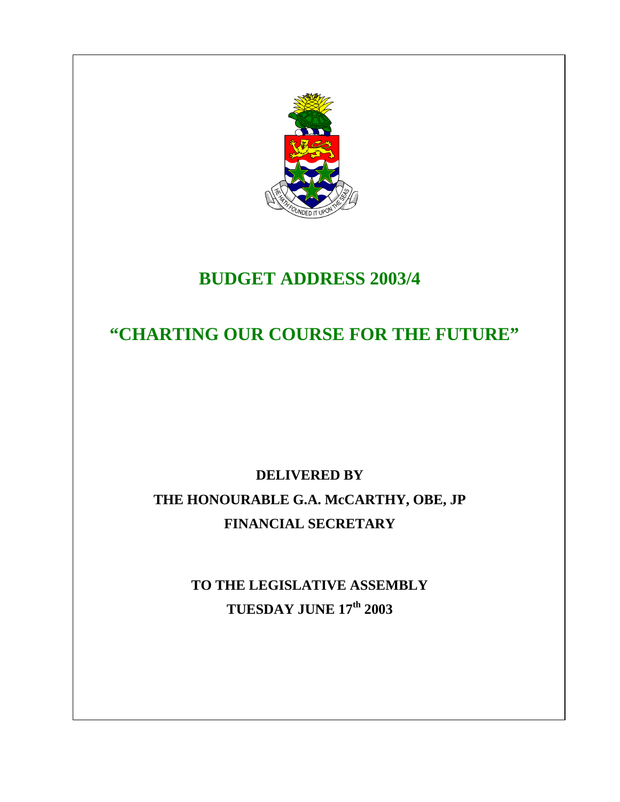

# **BUDGET ADDRESS 2003/4**

 **"CHARTING OUR COURSE FOR THE FUTURE"** 

# **DELIVERED BY THE HONOURABLE G.A. McCARTHY, OBE, JP FINANCIAL SECRETARY**

**TO THE LEGISLATIVE ASSEMBLY TUESDAY JUNE 17th 2003**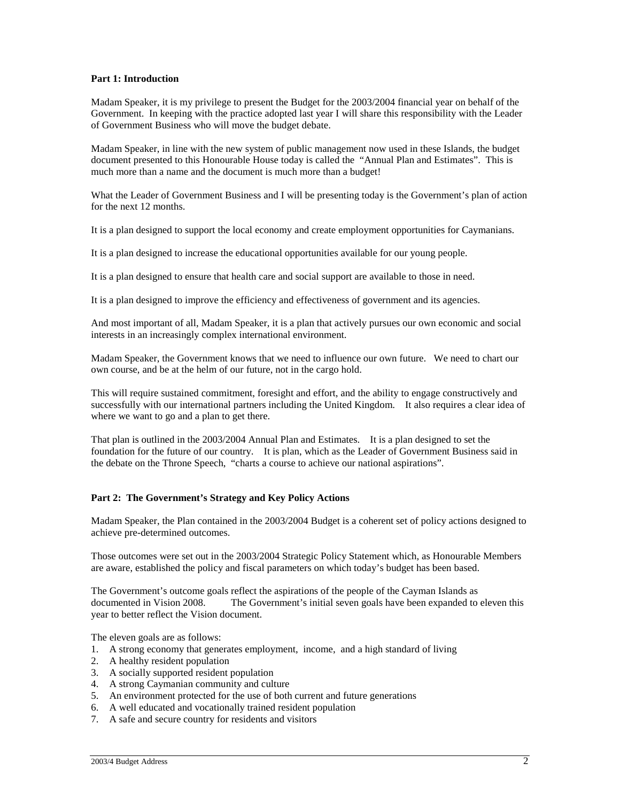## **Part 1: Introduction**

Madam Speaker, it is my privilege to present the Budget for the 2003/2004 financial year on behalf of the Government. In keeping with the practice adopted last year I will share this responsibility with the Leader of Government Business who will move the budget debate.

Madam Speaker, in line with the new system of public management now used in these Islands, the budget document presented to this Honourable House today is called the "Annual Plan and Estimates". This is much more than a name and the document is much more than a budget!

What the Leader of Government Business and I will be presenting today is the Government's plan of action for the next 12 months.

It is a plan designed to support the local economy and create employment opportunities for Caymanians.

It is a plan designed to increase the educational opportunities available for our young people.

It is a plan designed to ensure that health care and social support are available to those in need.

It is a plan designed to improve the efficiency and effectiveness of government and its agencies.

And most important of all, Madam Speaker, it is a plan that actively pursues our own economic and social interests in an increasingly complex international environment.

Madam Speaker, the Government knows that we need to influence our own future. We need to chart our own course, and be at the helm of our future, not in the cargo hold.

This will require sustained commitment, foresight and effort, and the ability to engage constructively and successfully with our international partners including the United Kingdom. It also requires a clear idea of where we want to go and a plan to get there.

That plan is outlined in the 2003/2004 Annual Plan and Estimates. It is a plan designed to set the foundation for the future of our country. It is plan, which as the Leader of Government Business said in the debate on the Throne Speech, "charts a course to achieve our national aspirations".

# **Part 2: The Government's Strategy and Key Policy Actions**

Madam Speaker, the Plan contained in the 2003/2004 Budget is a coherent set of policy actions designed to achieve pre-determined outcomes.

Those outcomes were set out in the 2003/2004 Strategic Policy Statement which, as Honourable Members are aware, established the policy and fiscal parameters on which today's budget has been based.

The Government's outcome goals reflect the aspirations of the people of the Cayman Islands as documented in Vision 2008. The Government's initial seven goals have been expanded to eleven this year to better reflect the Vision document.

The eleven goals are as follows:

- 1. A strong economy that generates employment, income, and a high standard of living
- 2. A healthy resident population
- 3. A socially supported resident population
- 4. A strong Caymanian community and culture
- 5. An environment protected for the use of both current and future generations
- 6. A well educated and vocationally trained resident population
- 7. A safe and secure country for residents and visitors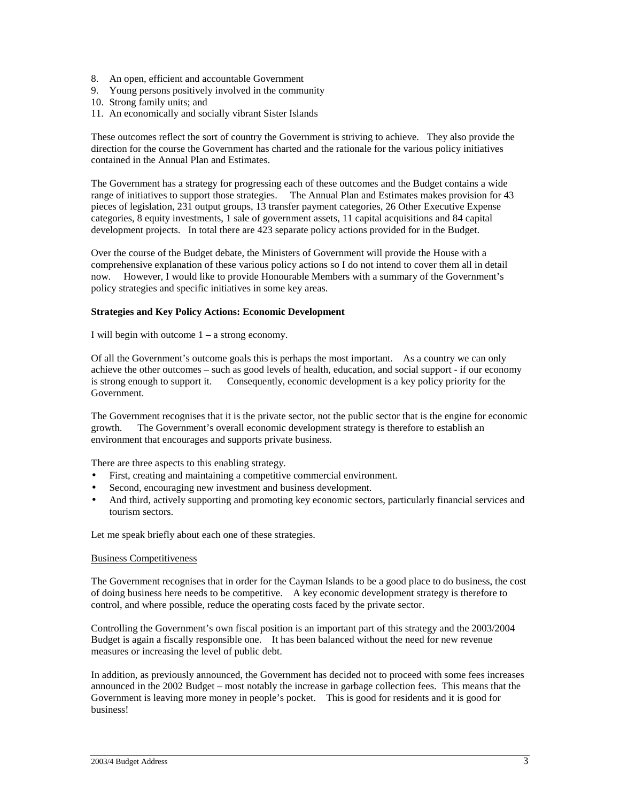- 8. An open, efficient and accountable Government
- 9. Young persons positively involved in the community
- 10. Strong family units; and
- 11. An economically and socially vibrant Sister Islands

These outcomes reflect the sort of country the Government is striving to achieve. They also provide the direction for the course the Government has charted and the rationale for the various policy initiatives contained in the Annual Plan and Estimates.

The Government has a strategy for progressing each of these outcomes and the Budget contains a wide range of initiatives to support those strategies. The Annual Plan and Estimates makes provision for 43 pieces of legislation, 231 output groups, 13 transfer payment categories, 26 Other Executive Expense categories, 8 equity investments, 1 sale of government assets, 11 capital acquisitions and 84 capital development projects. In total there are 423 separate policy actions provided for in the Budget.

Over the course of the Budget debate, the Ministers of Government will provide the House with a comprehensive explanation of these various policy actions so I do not intend to cover them all in detail now. However, I would like to provide Honourable Members with a summary of the Government's policy strategies and specific initiatives in some key areas.

## **Strategies and Key Policy Actions: Economic Development**

I will begin with outcome 1 – a strong economy.

Of all the Government's outcome goals this is perhaps the most important. As a country we can only achieve the other outcomes – such as good levels of health, education, and social support - if our economy is strong enough to support it. Consequently, economic development is a key policy priority for the Government.

The Government recognises that it is the private sector, not the public sector that is the engine for economic growth. The Government's overall economic development strategy is therefore to establish an environment that encourages and supports private business.

There are three aspects to this enabling strategy.

- First, creating and maintaining a competitive commercial environment.
- Second, encouraging new investment and business development.
- And third, actively supporting and promoting key economic sectors, particularly financial services and tourism sectors.

Let me speak briefly about each one of these strategies.

#### Business Competitiveness

The Government recognises that in order for the Cayman Islands to be a good place to do business, the cost of doing business here needs to be competitive. A key economic development strategy is therefore to control, and where possible, reduce the operating costs faced by the private sector.

Controlling the Government's own fiscal position is an important part of this strategy and the 2003/2004 Budget is again a fiscally responsible one. It has been balanced without the need for new revenue measures or increasing the level of public debt.

In addition, as previously announced, the Government has decided not to proceed with some fees increases announced in the 2002 Budget – most notably the increase in garbage collection fees. This means that the Government is leaving more money in people's pocket. This is good for residents and it is good for business!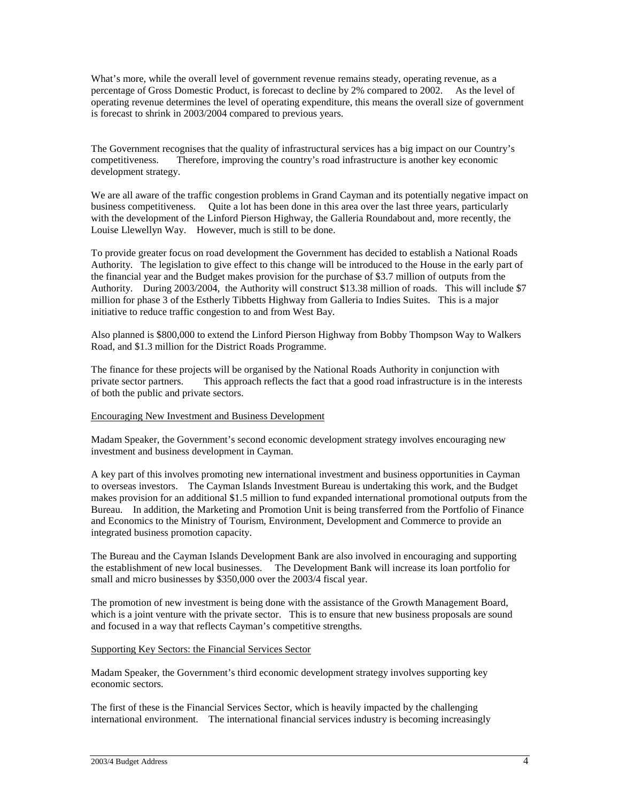What's more, while the overall level of government revenue remains steady, operating revenue, as a percentage of Gross Domestic Product, is forecast to decline by 2% compared to 2002. As the level of operating revenue determines the level of operating expenditure, this means the overall size of government is forecast to shrink in 2003/2004 compared to previous years.

The Government recognises that the quality of infrastructural services has a big impact on our Country's competitiveness. Therefore, improving the country's road infrastructure is another key economic development strategy.

We are all aware of the traffic congestion problems in Grand Cayman and its potentially negative impact on business competitiveness. Quite a lot has been done in this area over the last three years, particularly with the development of the Linford Pierson Highway, the Galleria Roundabout and, more recently, the Louise Llewellyn Way. However, much is still to be done.

To provide greater focus on road development the Government has decided to establish a National Roads Authority. The legislation to give effect to this change will be introduced to the House in the early part of the financial year and the Budget makes provision for the purchase of \$3.7 million of outputs from the Authority. During 2003/2004, the Authority will construct \$13.38 million of roads. This will include \$7 million for phase 3 of the Estherly Tibbetts Highway from Galleria to Indies Suites. This is a major initiative to reduce traffic congestion to and from West Bay.

Also planned is \$800,000 to extend the Linford Pierson Highway from Bobby Thompson Way to Walkers Road, and \$1.3 million for the District Roads Programme.

The finance for these projects will be organised by the National Roads Authority in conjunction with private sector partners. This approach reflects the fact that a good road infrastructure is in the interests of both the public and private sectors.

# Encouraging New Investment and Business Development

Madam Speaker, the Government's second economic development strategy involves encouraging new investment and business development in Cayman.

A key part of this involves promoting new international investment and business opportunities in Cayman to overseas investors. The Cayman Islands Investment Bureau is undertaking this work, and the Budget makes provision for an additional \$1.5 million to fund expanded international promotional outputs from the Bureau. In addition, the Marketing and Promotion Unit is being transferred from the Portfolio of Finance and Economics to the Ministry of Tourism, Environment, Development and Commerce to provide an integrated business promotion capacity.

The Bureau and the Cayman Islands Development Bank are also involved in encouraging and supporting the establishment of new local businesses. The Development Bank will increase its loan portfolio for small and micro businesses by \$350,000 over the 2003/4 fiscal year.

The promotion of new investment is being done with the assistance of the Growth Management Board, which is a joint venture with the private sector. This is to ensure that new business proposals are sound and focused in a way that reflects Cayman's competitive strengths.

# Supporting Key Sectors: the Financial Services Sector

Madam Speaker, the Government's third economic development strategy involves supporting key economic sectors.

The first of these is the Financial Services Sector, which is heavily impacted by the challenging international environment. The international financial services industry is becoming increasingly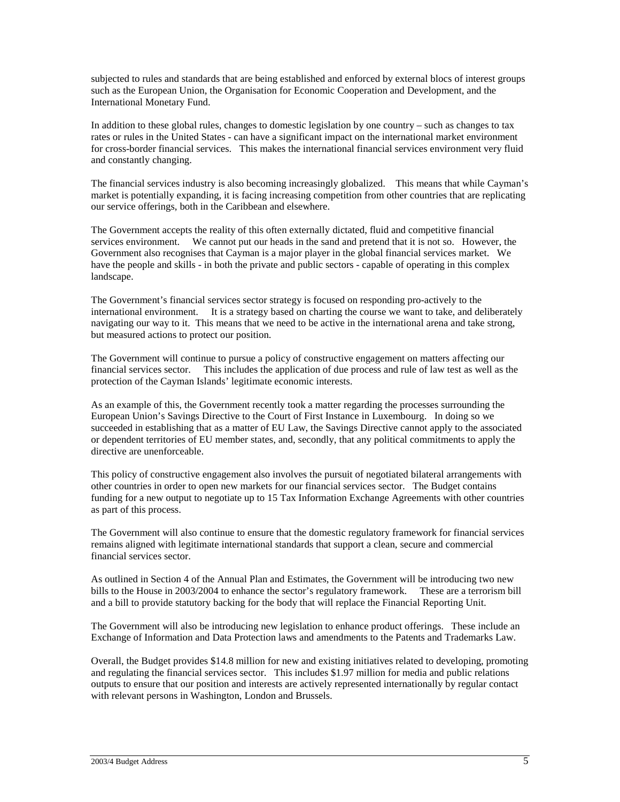subjected to rules and standards that are being established and enforced by external blocs of interest groups such as the European Union, the Organisation for Economic Cooperation and Development, and the International Monetary Fund.

In addition to these global rules, changes to domestic legislation by one country – such as changes to tax rates or rules in the United States - can have a significant impact on the international market environment for cross-border financial services. This makes the international financial services environment very fluid and constantly changing.

The financial services industry is also becoming increasingly globalized. This means that while Cayman's market is potentially expanding, it is facing increasing competition from other countries that are replicating our service offerings, both in the Caribbean and elsewhere.

The Government accepts the reality of this often externally dictated, fluid and competitive financial services environment. We cannot put our heads in the sand and pretend that it is not so. However, the Government also recognises that Cayman is a major player in the global financial services market. We have the people and skills - in both the private and public sectors - capable of operating in this complex landscape.

The Government's financial services sector strategy is focused on responding pro-actively to the international environment. It is a strategy based on charting the course we want to take, and deliberately navigating our way to it. This means that we need to be active in the international arena and take strong, but measured actions to protect our position.

The Government will continue to pursue a policy of constructive engagement on matters affecting our financial services sector. This includes the application of due process and rule of law test as well as the protection of the Cayman Islands' legitimate economic interests.

As an example of this, the Government recently took a matter regarding the processes surrounding the European Union's Savings Directive to the Court of First Instance in Luxembourg. In doing so we succeeded in establishing that as a matter of EU Law, the Savings Directive cannot apply to the associated or dependent territories of EU member states, and, secondly, that any political commitments to apply the directive are unenforceable.

This policy of constructive engagement also involves the pursuit of negotiated bilateral arrangements with other countries in order to open new markets for our financial services sector. The Budget contains funding for a new output to negotiate up to 15 Tax Information Exchange Agreements with other countries as part of this process.

The Government will also continue to ensure that the domestic regulatory framework for financial services remains aligned with legitimate international standards that support a clean, secure and commercial financial services sector.

As outlined in Section 4 of the Annual Plan and Estimates, the Government will be introducing two new bills to the House in 2003/2004 to enhance the sector's regulatory framework. These are a terrorism bill and a bill to provide statutory backing for the body that will replace the Financial Reporting Unit.

The Government will also be introducing new legislation to enhance product offerings. These include an Exchange of Information and Data Protection laws and amendments to the Patents and Trademarks Law.

Overall, the Budget provides \$14.8 million for new and existing initiatives related to developing, promoting and regulating the financial services sector. This includes \$1.97 million for media and public relations outputs to ensure that our position and interests are actively represented internationally by regular contact with relevant persons in Washington, London and Brussels.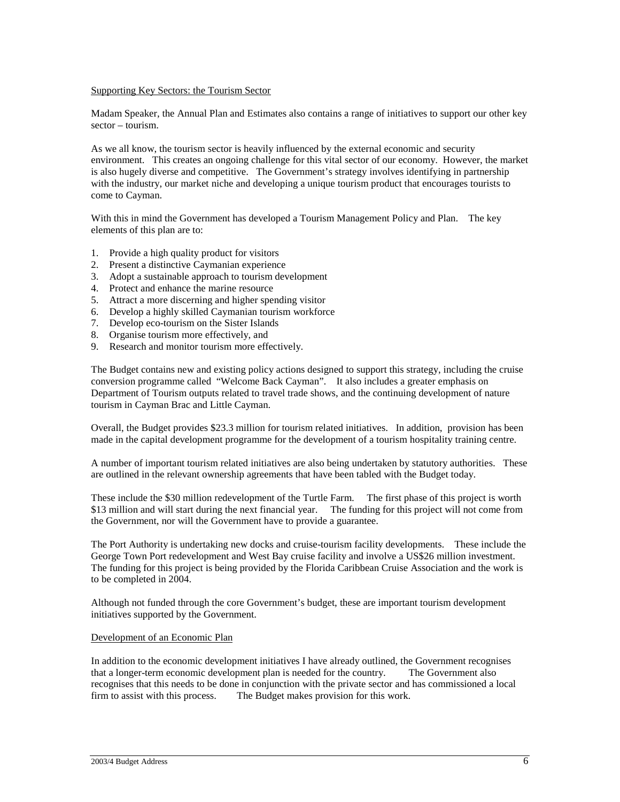#### Supporting Key Sectors: the Tourism Sector

Madam Speaker, the Annual Plan and Estimates also contains a range of initiatives to support our other key sector – tourism.

As we all know, the tourism sector is heavily influenced by the external economic and security environment. This creates an ongoing challenge for this vital sector of our economy. However, the market is also hugely diverse and competitive. The Government's strategy involves identifying in partnership with the industry, our market niche and developing a unique tourism product that encourages tourists to come to Cayman.

With this in mind the Government has developed a Tourism Management Policy and Plan. The key elements of this plan are to:

- 1. Provide a high quality product for visitors
- 2. Present a distinctive Caymanian experience
- 3. Adopt a sustainable approach to tourism development
- 4. Protect and enhance the marine resource
- 5. Attract a more discerning and higher spending visitor
- 6. Develop a highly skilled Caymanian tourism workforce
- 7. Develop eco-tourism on the Sister Islands
- 8. Organise tourism more effectively, and
- 9. Research and monitor tourism more effectively.

The Budget contains new and existing policy actions designed to support this strategy, including the cruise conversion programme called "Welcome Back Cayman". It also includes a greater emphasis on Department of Tourism outputs related to travel trade shows, and the continuing development of nature tourism in Cayman Brac and Little Cayman.

Overall, the Budget provides \$23.3 million for tourism related initiatives. In addition, provision has been made in the capital development programme for the development of a tourism hospitality training centre.

A number of important tourism related initiatives are also being undertaken by statutory authorities. These are outlined in the relevant ownership agreements that have been tabled with the Budget today.

These include the \$30 million redevelopment of the Turtle Farm. The first phase of this project is worth \$13 million and will start during the next financial year. The funding for this project will not come from the Government, nor will the Government have to provide a guarantee.

The Port Authority is undertaking new docks and cruise-tourism facility developments. These include the George Town Port redevelopment and West Bay cruise facility and involve a US\$26 million investment. The funding for this project is being provided by the Florida Caribbean Cruise Association and the work is to be completed in 2004.

Although not funded through the core Government's budget, these are important tourism development initiatives supported by the Government.

#### Development of an Economic Plan

In addition to the economic development initiatives I have already outlined, the Government recognises that a longer-term economic development plan is needed for the country. The Government also recognises that this needs to be done in conjunction with the private sector and has commissioned a local firm to assist with this process. The Budget makes provision for this work.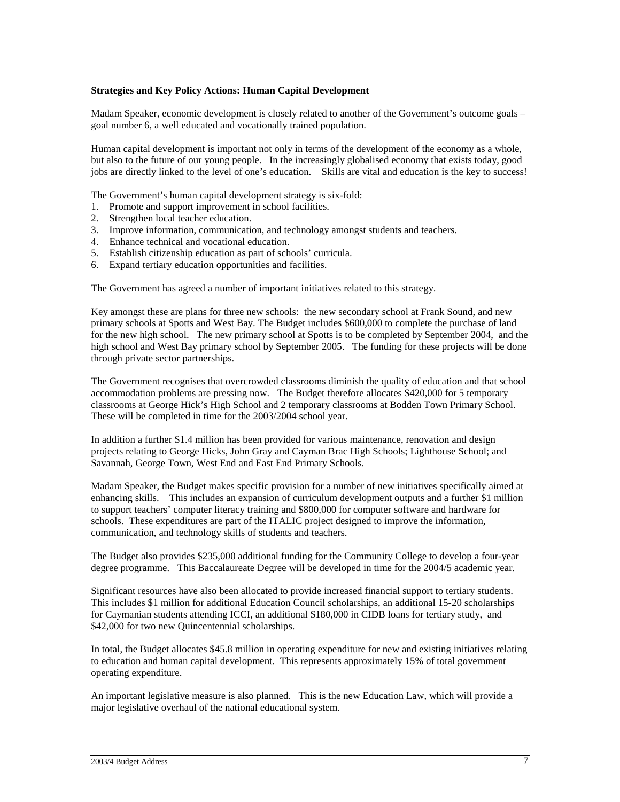#### **Strategies and Key Policy Actions: Human Capital Development**

Madam Speaker, economic development is closely related to another of the Government's outcome goals – goal number 6, a well educated and vocationally trained population.

Human capital development is important not only in terms of the development of the economy as a whole, but also to the future of our young people. In the increasingly globalised economy that exists today, good jobs are directly linked to the level of one's education. Skills are vital and education is the key to success!

The Government's human capital development strategy is six-fold:

- 1. Promote and support improvement in school facilities.
- 2. Strengthen local teacher education.
- 3. Improve information, communication, and technology amongst students and teachers.
- 4. Enhance technical and vocational education.
- 5. Establish citizenship education as part of schools' curricula.
- 6. Expand tertiary education opportunities and facilities.

The Government has agreed a number of important initiatives related to this strategy.

Key amongst these are plans for three new schools: the new secondary school at Frank Sound, and new primary schools at Spotts and West Bay. The Budget includes \$600,000 to complete the purchase of land for the new high school. The new primary school at Spotts is to be completed by September 2004, and the high school and West Bay primary school by September 2005. The funding for these projects will be done through private sector partnerships.

The Government recognises that overcrowded classrooms diminish the quality of education and that school accommodation problems are pressing now. The Budget therefore allocates \$420,000 for 5 temporary classrooms at George Hick's High School and 2 temporary classrooms at Bodden Town Primary School. These will be completed in time for the 2003/2004 school year.

In addition a further \$1.4 million has been provided for various maintenance, renovation and design projects relating to George Hicks, John Gray and Cayman Brac High Schools; Lighthouse School; and Savannah, George Town, West End and East End Primary Schools.

Madam Speaker, the Budget makes specific provision for a number of new initiatives specifically aimed at enhancing skills. This includes an expansion of curriculum development outputs and a further \$1 million to support teachers' computer literacy training and \$800,000 for computer software and hardware for schools. These expenditures are part of the ITALIC project designed to improve the information, communication, and technology skills of students and teachers.

The Budget also provides \$235,000 additional funding for the Community College to develop a four-year degree programme. This Baccalaureate Degree will be developed in time for the 2004/5 academic year.

Significant resources have also been allocated to provide increased financial support to tertiary students. This includes \$1 million for additional Education Council scholarships, an additional 15-20 scholarships for Caymanian students attending ICCI, an additional \$180,000 in CIDB loans for tertiary study, and \$42,000 for two new Quincentennial scholarships.

In total, the Budget allocates \$45.8 million in operating expenditure for new and existing initiatives relating to education and human capital development. This represents approximately 15% of total government operating expenditure.

An important legislative measure is also planned. This is the new Education Law, which will provide a major legislative overhaul of the national educational system.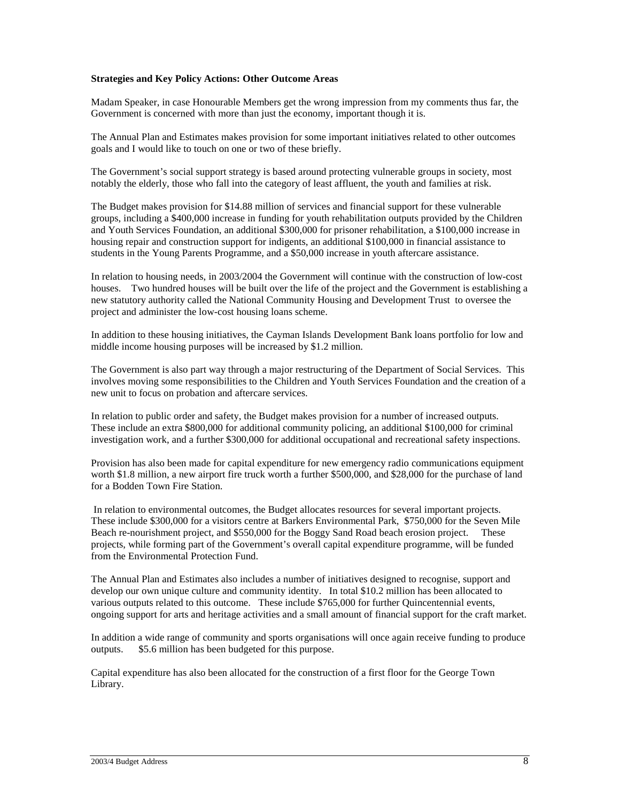## **Strategies and Key Policy Actions: Other Outcome Areas**

Madam Speaker, in case Honourable Members get the wrong impression from my comments thus far, the Government is concerned with more than just the economy, important though it is.

The Annual Plan and Estimates makes provision for some important initiatives related to other outcomes goals and I would like to touch on one or two of these briefly.

The Government's social support strategy is based around protecting vulnerable groups in society, most notably the elderly, those who fall into the category of least affluent, the youth and families at risk.

The Budget makes provision for \$14.88 million of services and financial support for these vulnerable groups, including a \$400,000 increase in funding for youth rehabilitation outputs provided by the Children and Youth Services Foundation, an additional \$300,000 for prisoner rehabilitation, a \$100,000 increase in housing repair and construction support for indigents, an additional \$100,000 in financial assistance to students in the Young Parents Programme, and a \$50,000 increase in youth aftercare assistance.

In relation to housing needs, in 2003/2004 the Government will continue with the construction of low-cost houses. Two hundred houses will be built over the life of the project and the Government is establishing a new statutory authority called the National Community Housing and Development Trust to oversee the project and administer the low-cost housing loans scheme.

In addition to these housing initiatives, the Cayman Islands Development Bank loans portfolio for low and middle income housing purposes will be increased by \$1.2 million.

The Government is also part way through a major restructuring of the Department of Social Services. This involves moving some responsibilities to the Children and Youth Services Foundation and the creation of a new unit to focus on probation and aftercare services.

In relation to public order and safety, the Budget makes provision for a number of increased outputs. These include an extra \$800,000 for additional community policing, an additional \$100,000 for criminal investigation work, and a further \$300,000 for additional occupational and recreational safety inspections.

Provision has also been made for capital expenditure for new emergency radio communications equipment worth \$1.8 million, a new airport fire truck worth a further \$500,000, and \$28,000 for the purchase of land for a Bodden Town Fire Station.

 In relation to environmental outcomes, the Budget allocates resources for several important projects. These include \$300,000 for a visitors centre at Barkers Environmental Park, \$750,000 for the Seven Mile Beach re-nourishment project, and \$550,000 for the Boggy Sand Road beach erosion project. These projects, while forming part of the Government's overall capital expenditure programme, will be funded from the Environmental Protection Fund.

The Annual Plan and Estimates also includes a number of initiatives designed to recognise, support and develop our own unique culture and community identity. In total \$10.2 million has been allocated to various outputs related to this outcome. These include \$765,000 for further Quincentennial events, ongoing support for arts and heritage activities and a small amount of financial support for the craft market.

In addition a wide range of community and sports organisations will once again receive funding to produce outputs. \$5.6 million has been budgeted for this purpose.

Capital expenditure has also been allocated for the construction of a first floor for the George Town Library.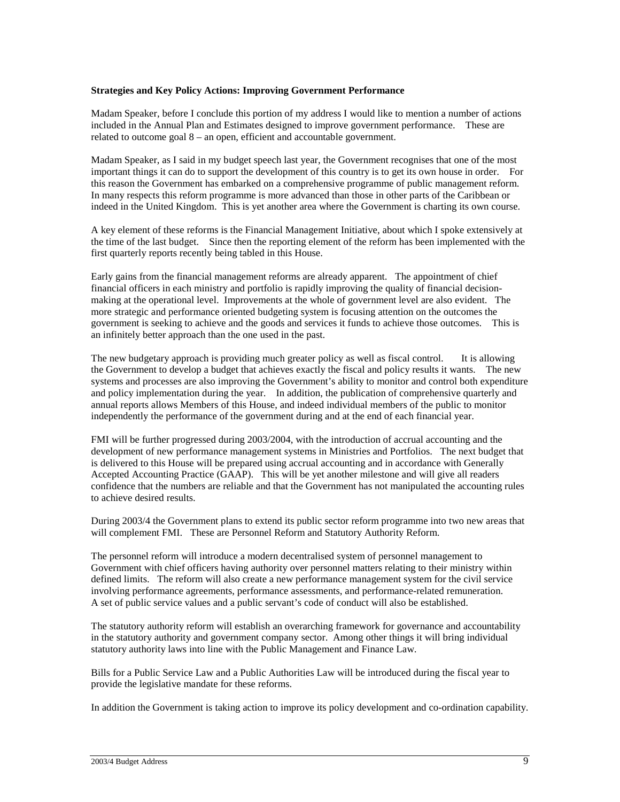#### **Strategies and Key Policy Actions: Improving Government Performance**

Madam Speaker, before I conclude this portion of my address I would like to mention a number of actions included in the Annual Plan and Estimates designed to improve government performance. These are related to outcome goal 8 – an open, efficient and accountable government.

Madam Speaker, as I said in my budget speech last year, the Government recognises that one of the most important things it can do to support the development of this country is to get its own house in order. For this reason the Government has embarked on a comprehensive programme of public management reform. In many respects this reform programme is more advanced than those in other parts of the Caribbean or indeed in the United Kingdom. This is yet another area where the Government is charting its own course.

A key element of these reforms is the Financial Management Initiative, about which I spoke extensively at the time of the last budget. Since then the reporting element of the reform has been implemented with the first quarterly reports recently being tabled in this House.

Early gains from the financial management reforms are already apparent. The appointment of chief financial officers in each ministry and portfolio is rapidly improving the quality of financial decisionmaking at the operational level. Improvements at the whole of government level are also evident. The more strategic and performance oriented budgeting system is focusing attention on the outcomes the government is seeking to achieve and the goods and services it funds to achieve those outcomes. This is an infinitely better approach than the one used in the past.

The new budgetary approach is providing much greater policy as well as fiscal control. It is allowing the Government to develop a budget that achieves exactly the fiscal and policy results it wants. The new systems and processes are also improving the Government's ability to monitor and control both expenditure and policy implementation during the year. In addition, the publication of comprehensive quarterly and annual reports allows Members of this House, and indeed individual members of the public to monitor independently the performance of the government during and at the end of each financial year.

FMI will be further progressed during 2003/2004, with the introduction of accrual accounting and the development of new performance management systems in Ministries and Portfolios. The next budget that is delivered to this House will be prepared using accrual accounting and in accordance with Generally Accepted Accounting Practice (GAAP). This will be yet another milestone and will give all readers confidence that the numbers are reliable and that the Government has not manipulated the accounting rules to achieve desired results.

During 2003/4 the Government plans to extend its public sector reform programme into two new areas that will complement FMI. These are Personnel Reform and Statutory Authority Reform.

The personnel reform will introduce a modern decentralised system of personnel management to Government with chief officers having authority over personnel matters relating to their ministry within defined limits. The reform will also create a new performance management system for the civil service involving performance agreements, performance assessments, and performance-related remuneration. A set of public service values and a public servant's code of conduct will also be established.

The statutory authority reform will establish an overarching framework for governance and accountability in the statutory authority and government company sector. Among other things it will bring individual statutory authority laws into line with the Public Management and Finance Law.

Bills for a Public Service Law and a Public Authorities Law will be introduced during the fiscal year to provide the legislative mandate for these reforms.

In addition the Government is taking action to improve its policy development and co-ordination capability.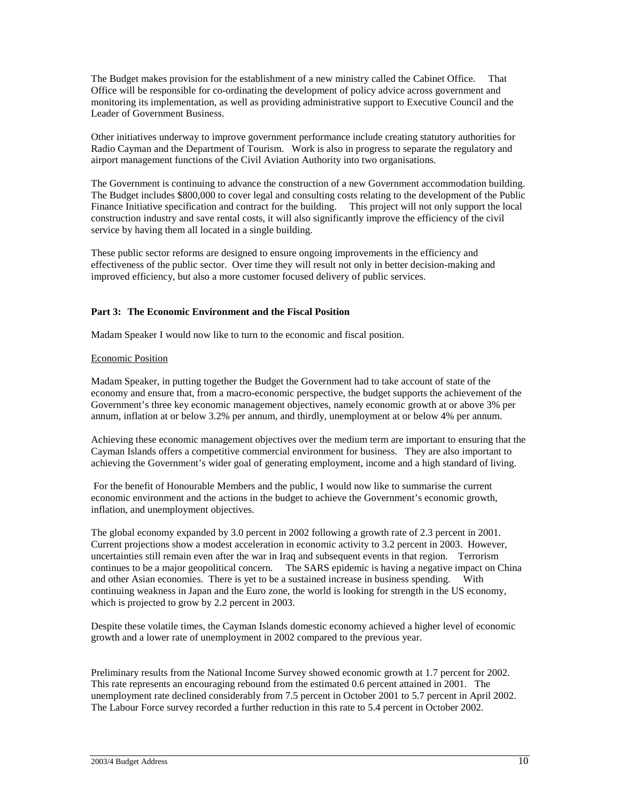The Budget makes provision for the establishment of a new ministry called the Cabinet Office. That Office will be responsible for co-ordinating the development of policy advice across government and monitoring its implementation, as well as providing administrative support to Executive Council and the Leader of Government Business.

Other initiatives underway to improve government performance include creating statutory authorities for Radio Cayman and the Department of Tourism. Work is also in progress to separate the regulatory and airport management functions of the Civil Aviation Authority into two organisations.

The Government is continuing to advance the construction of a new Government accommodation building. The Budget includes \$800,000 to cover legal and consulting costs relating to the development of the Public Finance Initiative specification and contract for the building. This project will not only support the local construction industry and save rental costs, it will also significantly improve the efficiency of the civil service by having them all located in a single building.

These public sector reforms are designed to ensure ongoing improvements in the efficiency and effectiveness of the public sector. Over time they will result not only in better decision-making and improved efficiency, but also a more customer focused delivery of public services.

# **Part 3: The Economic Environment and the Fiscal Position**

Madam Speaker I would now like to turn to the economic and fiscal position.

## Economic Position

Madam Speaker, in putting together the Budget the Government had to take account of state of the economy and ensure that, from a macro-economic perspective, the budget supports the achievement of the Government's three key economic management objectives, namely economic growth at or above 3% per annum, inflation at or below 3.2% per annum, and thirdly, unemployment at or below 4% per annum.

Achieving these economic management objectives over the medium term are important to ensuring that the Cayman Islands offers a competitive commercial environment for business. They are also important to achieving the Government's wider goal of generating employment, income and a high standard of living.

 For the benefit of Honourable Members and the public, I would now like to summarise the current economic environment and the actions in the budget to achieve the Government's economic growth, inflation, and unemployment objectives.

The global economy expanded by 3.0 percent in 2002 following a growth rate of 2.3 percent in 2001. Current projections show a modest acceleration in economic activity to 3.2 percent in 2003. However, uncertainties still remain even after the war in Iraq and subsequent events in that region. Terrorism continues to be a major geopolitical concern. The SARS epidemic is having a negative impact on China and other Asian economies. There is yet to be a sustained increase in business spending. With continuing weakness in Japan and the Euro zone, the world is looking for strength in the US economy, which is projected to grow by 2.2 percent in 2003.

Despite these volatile times, the Cayman Islands domestic economy achieved a higher level of economic growth and a lower rate of unemployment in 2002 compared to the previous year.

Preliminary results from the National Income Survey showed economic growth at 1.7 percent for 2002. This rate represents an encouraging rebound from the estimated 0.6 percent attained in 2001. The unemployment rate declined considerably from 7.5 percent in October 2001 to 5.7 percent in April 2002. The Labour Force survey recorded a further reduction in this rate to 5.4 percent in October 2002.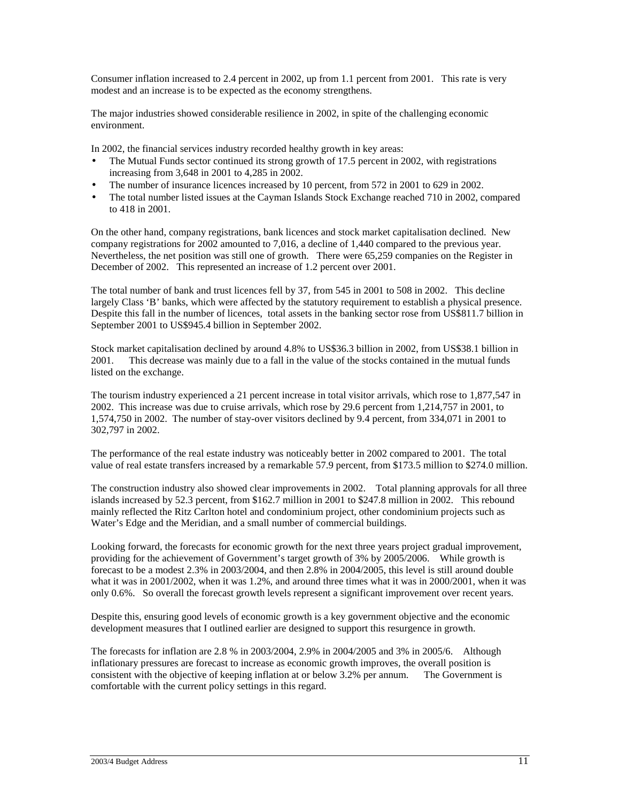Consumer inflation increased to 2.4 percent in 2002, up from 1.1 percent from 2001. This rate is very modest and an increase is to be expected as the economy strengthens.

The major industries showed considerable resilience in 2002, in spite of the challenging economic environment.

In 2002, the financial services industry recorded healthy growth in key areas:

- The Mutual Funds sector continued its strong growth of 17.5 percent in 2002, with registrations increasing from 3,648 in 2001 to 4,285 in 2002.
- The number of insurance licences increased by 10 percent, from 572 in 2001 to 629 in 2002.
- The total number listed issues at the Cayman Islands Stock Exchange reached 710 in 2002, compared to 418 in 2001.

On the other hand, company registrations, bank licences and stock market capitalisation declined. New company registrations for 2002 amounted to 7,016, a decline of 1,440 compared to the previous year. Nevertheless, the net position was still one of growth. There were 65,259 companies on the Register in December of 2002. This represented an increase of 1.2 percent over 2001.

The total number of bank and trust licences fell by 37, from 545 in 2001 to 508 in 2002. This decline largely Class 'B' banks, which were affected by the statutory requirement to establish a physical presence. Despite this fall in the number of licences, total assets in the banking sector rose from US\$811.7 billion in September 2001 to US\$945.4 billion in September 2002.

Stock market capitalisation declined by around 4.8% to US\$36.3 billion in 2002, from US\$38.1 billion in 2001. This decrease was mainly due to a fall in the value of the stocks contained in the mutual funds listed on the exchange.

The tourism industry experienced a 21 percent increase in total visitor arrivals, which rose to 1,877,547 in 2002. This increase was due to cruise arrivals, which rose by 29.6 percent from 1,214,757 in 2001, to 1,574,750 in 2002. The number of stay-over visitors declined by 9.4 percent, from 334,071 in 2001 to 302,797 in 2002.

The performance of the real estate industry was noticeably better in 2002 compared to 2001. The total value of real estate transfers increased by a remarkable 57.9 percent, from \$173.5 million to \$274.0 million.

The construction industry also showed clear improvements in 2002. Total planning approvals for all three islands increased by 52.3 percent, from \$162.7 million in 2001 to \$247.8 million in 2002. This rebound mainly reflected the Ritz Carlton hotel and condominium project, other condominium projects such as Water's Edge and the Meridian, and a small number of commercial buildings.

Looking forward, the forecasts for economic growth for the next three years project gradual improvement, providing for the achievement of Government's target growth of 3% by 2005/2006. While growth is forecast to be a modest 2.3% in 2003/2004, and then 2.8% in 2004/2005, this level is still around double what it was in 2001/2002, when it was 1.2%, and around three times what it was in 2000/2001, when it was only 0.6%. So overall the forecast growth levels represent a significant improvement over recent years.

Despite this, ensuring good levels of economic growth is a key government objective and the economic development measures that I outlined earlier are designed to support this resurgence in growth.

The forecasts for inflation are 2.8 % in 2003/2004, 2.9% in 2004/2005 and 3% in 2005/6. Although inflationary pressures are forecast to increase as economic growth improves, the overall position is consistent with the objective of keeping inflation at or below 3.2% per annum. The Government is comfortable with the current policy settings in this regard.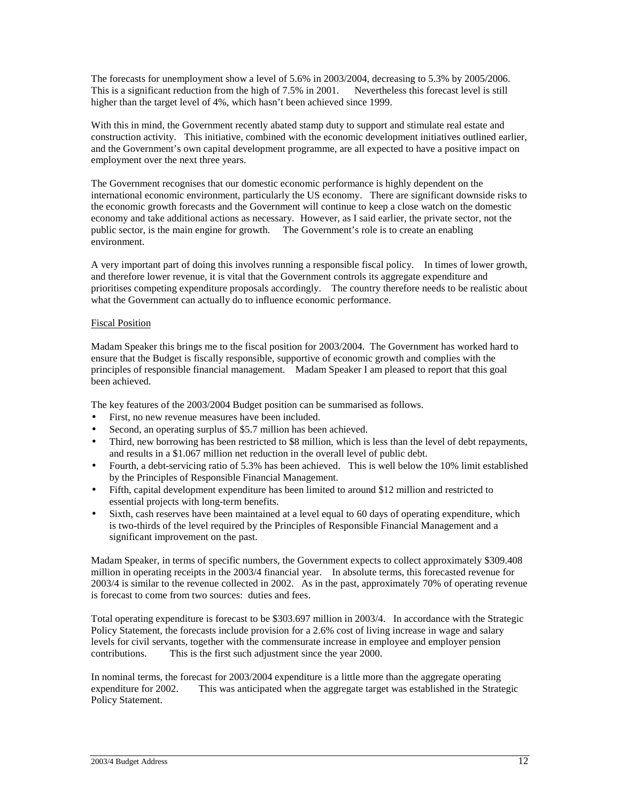The forecasts for unemployment show a level of 5.6% in 2003/2004, decreasing to 5.3% by 2005/2006. This is a significant reduction from the high of 7.5% in 2001. Nevertheless this forecast level is still higher than the target level of 4%, which hasn't been achieved since 1999.

With this in mind, the Government recently abated stamp duty to support and stimulate real estate and construction activity. This initiative, combined with the economic development initiatives outlined earlier, and the Government's own capital development programme, are all expected to have a positive impact on employment over the next three years.

The Government recognises that our domestic economic performance is highly dependent on the international economic environment, particularly the US economy. There are significant downside risks to the economic growth forecasts and the Government will continue to keep a close watch on the domestic economy and take additional actions as necessary. However, as I said earlier, the private sector, not the public sector, is the main engine for growth. The Government's role is to create an enabling environment.

A very important part of doing this involves running a responsible fiscal policy. In times of lower growth, and therefore lower revenue, it is vital that the Government controls its aggregate expenditure and prioritises competing expenditure proposals accordingly. The country therefore needs to be realistic about what the Government can actually do to influence economic performance.

# Fiscal Position

Madam Speaker this brings me to the fiscal position for 2003/2004. The Government has worked hard to ensure that the Budget is fiscally responsible, supportive of economic growth and complies with the principles of responsible financial management. Madam Speaker I am pleased to report that this goal been achieved.

The key features of the 2003/2004 Budget position can be summarised as follows.

- First, no new revenue measures have been included.
- Second, an operating surplus of \$5.7 million has been achieved.
- Third, new borrowing has been restricted to \$8 million, which is less than the level of debt repayments, and results in a \$1.067 million net reduction in the overall level of public debt.
- Fourth, a debt-servicing ratio of 5.3% has been achieved. This is well below the 10% limit established by the Principles of Responsible Financial Management.
- Fifth, capital development expenditure has been limited to around \$12 million and restricted to essential projects with long-term benefits.
- Sixth, cash reserves have been maintained at a level equal to 60 days of operating expenditure, which is two-thirds of the level required by the Principles of Responsible Financial Management and a significant improvement on the past.

Madam Speaker, in terms of specific numbers, the Government expects to collect approximately \$309.408 million in operating receipts in the 2003/4 financial year. In absolute terms, this forecasted revenue for 2003/4 is similar to the revenue collected in 2002. As in the past, approximately 70% of operating revenue is forecast to come from two sources: duties and fees.

Total operating expenditure is forecast to be \$303.697 million in 2003/4. In accordance with the Strategic Policy Statement, the forecasts include provision for a 2.6% cost of living increase in wage and salary levels for civil servants, together with the commensurate increase in employee and employer pension contributions. This is the first such adjustment since the year 2000.

In nominal terms, the forecast for 2003/2004 expenditure is a little more than the aggregate operating expenditure for 2002. This was anticipated when the aggregate target was established in the Strategic Policy Statement.